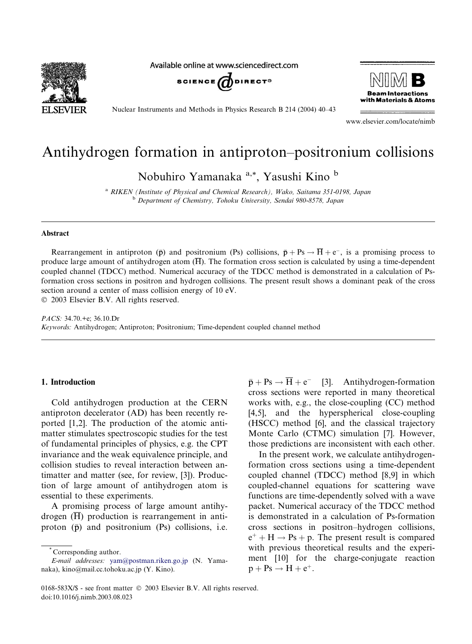

Available online at www.sciencedirect.com





Nuclear Instruments and Methods in Physics Research B 214 (2004) 40–43

www.elsevier.com/locate/nimb

# Antihydrogen formation in antiproton–positronium collisions

Nobuhiro Yamanaka a,\*, Yasushi Kino <sup>b</sup>

<sup>a</sup> RIKEN (Institute of Physical and Chemical Research), Wako, Saitama 351-0198, Japan <sup>b</sup> Department of Chemistry, Tohoku University, Sendai 980-8578, Japan

#### Abstract

Rearrangement in antiproton ( $\bar{p}$ ) and positronium (Ps) collisions,  $\bar{p} + Ps \rightarrow \bar{H} + e^-$ , is a promising process to produce large amount of antihydrogen atom  $(\overline{H})$ . The formation cross section is calculated by using a time-dependent coupled channel (TDCC) method. Numerical accuracy of the TDCC method is demonstrated in a calculation of Psformation cross sections in positron and hydrogen collisions. The present result shows a dominant peak of the cross section around a center of mass collision energy of 10 eV.

2003 Elsevier B.V. All rights reserved.

PACS: 34.70.+e; 36.10.Dr Keywords: Antihydrogen; Antiproton; Positronium; Time-dependent coupled channel method

# 1. Introduction

Cold antihydrogen production at the CERN antiproton decelerator (AD) has been recently reported [1,2]. The production of the atomic antimatter stimulates spectroscopic studies for the test of fundamental principles of physics, e.g. the CPT invariance and the weak equivalence principle, and collision studies to reveal interaction between antimatter and matter (see, for review, [3]). Production of large amount of antihydrogen atom is essential to these experiments.

A promising process of large amount antihydrogen  $(\overline{H})$  production is rearrangement in antiproton  $(\bar{p})$  and positronium  $(Ps)$  collisions, i.e.

\* Corresponding author.

 $\bar{p} + Ps \rightarrow \bar{H} + e^-$  [3]. Antihydrogen-formation cross sections were reported in many theoretical works with, e.g., the close-coupling (CC) method [4,5], and the hyperspherical close-coupling (HSCC) method [6], and the classical trajectory Monte Carlo (CTMC) simulation [7]. However, those predictions are inconsistent with each other.

In the present work, we calculate antihydrogenformation cross sections using a time-dependent coupled channel (TDCC) method [8,9] in which coupled-channel equations for scattering wave functions are time-dependently solved with a wave packet. Numerical accuracy of the TDCC method is demonstrated in a calculation of Ps-formation cross sections in positron–hydrogen collisions,  $e^+ + H \rightarrow Ps + p$ . The present result is compared with previous theoretical results and the experiment [10] for the charge-conjugate reaction  $p + Ps \rightarrow H + e^+$ .

E-mail addresses: [yam@postman.riken.go.jp](mail to: yam@postman.riken.go.jp) (N. Yamanaka), kino@mail.cc.tohoku.ac.jp (Y. Kino).

<sup>0168-583</sup>X/\$ - see front matter  $\odot$  2003 Elsevier B.V. All rights reserved. doi:10.1016/j.nimb.2003.08.023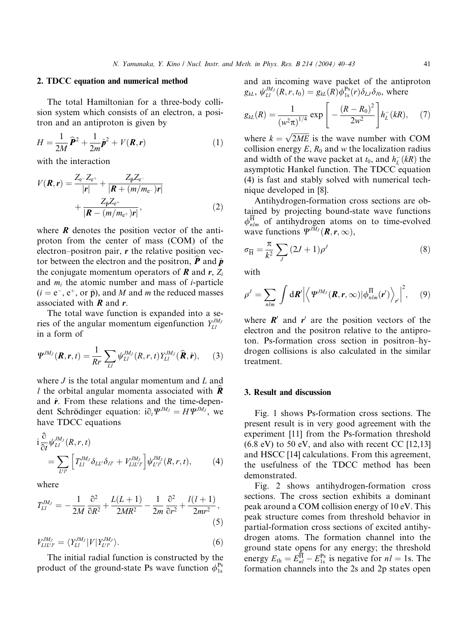# 2. TDCC equation and numerical method

The total Hamiltonian for a three-body collision system which consists of an electron, a positron and an antiproton is given by

$$
H = \frac{1}{2M}\widehat{P}^2 + \frac{1}{2m}\widehat{p}^2 + V(R, r)
$$
 (1)

with the interaction

$$
V(\mathbf{R}, \mathbf{r}) = \frac{Z_{e^-} Z_{e^+}}{|\mathbf{r}|} + \frac{Z_{\bar{\mathbf{p}}} Z_{e^-}}{|\mathbf{R} + (m/m_{e^-})\mathbf{r}|} + \frac{Z_{\bar{\mathbf{p}}} Z_{e^+}}{|\mathbf{R} - (m/m_{e^+})\mathbf{r}|},
$$
(2)

where  $\bm{R}$  denotes the position vector of the antiproton from the center of mass (COM) of the electron–positron pair,  $r$  the relative position vector between the electron and the positron,  $\bf{P}$  and  $\hat{\bf{p}}$ the conjugate momentum operators of  $\bf{R}$  and  $\bf{r}$ ,  $Z_i$ and  $m_i$  the atomic number and mass of *i*-particle  $(i = e^-, e^+, \text{ or } \bar{p})$ , and M and m the reduced masses associated with  $R$  and  $r$ .

The total wave function is expanded into a series of the angular momentum eigenfunction  $Y_{Ll}^{JM_{J}}$ in a form of

$$
\Psi^{JM_J}(\boldsymbol{R},\boldsymbol{r},t)=\frac{1}{Rr}\sum_{LI}\psi^{JM_J}_{LI}(R,r,t)Y^{JM_J}_{LI}(\widehat{\boldsymbol{R}},\widehat{\boldsymbol{r}}),\qquad(3)
$$

where  $J$  is the total angular momentum and  $L$  and l the orbital angular momenta associated with  $\vec{R}$ and  $\hat{r}$ . From these relations and the time-dependent Schrödinger equation:  $i \partial_t \Psi^{JM_J} = H \Psi^{JM_J}$ , we have TDCC equations

$$
i\frac{\partial}{\partial t} \psi_{LI}^{JM_J}(R,r,t)
$$
  
= 
$$
\sum_{LI'} \left[ T_{LI}^{JM_J} \delta_{LI'} \delta_{II'} + V_{LI'I'}^{JM_J} \right] \psi_{LI'}^{JM_J}(R,r,t),
$$
 (4)

where

$$
T_{LI}^{JM_J} = -\frac{1}{2M} \frac{\partial^2}{\partial R^2} + \frac{L(L+1)}{2MR^2} - \frac{1}{2m} \frac{\partial^2}{\partial r^2} + \frac{l(l+1)}{2mr^2},\tag{5}
$$

$$
V_{LIL'I'}^{JM_J} = \langle Y_{L1}^{JM_J} | V | Y_{L'I'}^{JM_J} \rangle. \tag{6}
$$

The initial radial function is constructed by the product of the ground-state Ps wave function  $\phi_{1s}^{Ps}$ 

and an incoming wave packet of the antiproton  $g_{kL}, \psi_{Ll}^{JM_J}(R,r,t_0) = g_{kL}(R)\phi_{1s}^{Ps}(r)\delta_{LJ}\delta_{l0}$ , where

$$
g_{kL}(R) = \frac{1}{\left(w^2 \pi\right)^{1/4}} \exp\left[-\frac{\left(R - R_0\right)^2}{2w^2}\right] h_L^-(kR),\tag{7}
$$

where  $k = \sqrt{2ME}$  is the wave number with COM collision energy  $E$ ,  $R_0$  and w the localization radius and width of the wave packet at  $t_0$ , and  $h_L^-(kR)$  the asymptotic Hankel function. The TDCC equation (4) is fast and stably solved with numerical technique developed in [8].

Antihydrogen-formation cross sections are obtained by projecting bound-state wave functions  $\phi_{nlm}^{\rm H}$  of antihydrogen atoms on to time-evolved wave functions  $\Psi^{JM_J}(\mathbf{R},\mathbf{r},\infty)$ ,

$$
\sigma_{\overline{H}} = \frac{\pi}{k^2} \sum_{J} (2J+1) \rho^J \tag{8}
$$

with

$$
\rho^{J} = \sum_{nlm} \int d\boldsymbol{R}' \left| \left\langle \Psi^{JM_{J}}(\boldsymbol{R},\boldsymbol{r},\infty) | \phi^{\overline{H}}_{nlm}(\boldsymbol{r}') \right\rangle_{\boldsymbol{r}'} \right|^{2}, \quad (9)
$$

where  $\mathbf{R}'$  and  $\mathbf{r}'$  are the position vectors of the electron and the positron relative to the antiproton. Ps-formation cross section in positron–hydrogen collisions is also calculated in the similar treatment.

#### 3. Result and discussion

Fig. 1 shows Ps-formation cross sections. The present result is in very good agreement with the experiment [11] from the Ps-formation threshold  $(6.8 \text{ eV})$  to 50 eV, and also with recent CC [12,13] and HSCC [14] calculations. From this agreement, the usefulness of the TDCC method has been demonstrated.

Fig. 2 shows antihydrogen-formation cross sections. The cross section exhibits a dominant peak around a COM collision energy of 10 eV. This peak structure comes from threshold behavior in partial-formation cross sections of excited antihydrogen atoms. The formation channel into the ground state opens for any energy; the threshold energy  $E_{\text{th}} = E_{nl}^{\text{H}} - E_{1s}^{\text{Ps}}$  is negative for  $nl = 1$ s. The formation channels into the 2s and 2p states open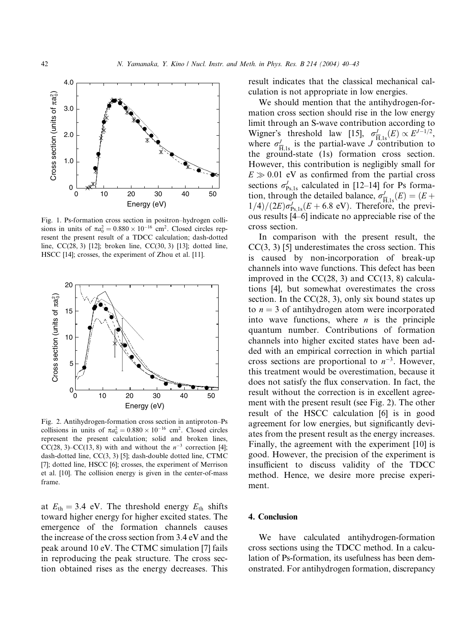

Fig. 1. Ps-formation cross section in positron–hydrogen collisions in units of  $\pi a_0^2 = 0.880 \times 10^{-16}$  cm<sup>2</sup>. Closed circles represent the present result of a TDCC calculation; dash-dotted line, CC(28, 3) [12]; broken line, CC(30, 3) [13]; dotted line, HSCC [14]; crosses, the experiment of Zhou et al. [11].



Fig. 2. Antihydrogen-formation cross section in antiproton–Ps collisions in units of  $\pi a_0^2 = 0.880 \times 10^{-16}$  cm<sup>2</sup>. Closed circles represent the present calculation; solid and broken lines, CC(28, 3)–CC(13, 8) with and without the  $n^{-3}$  correction [4]; dash-dotted line, CC(3, 3) [5]; dash-double dotted line, CTMC [7]; dotted line, HSCC [6]; crosses, the experiment of Merrison et al. [10]. The collision energy is given in the center-of-mass frame.

at  $E_{\text{th}} = 3.4$  eV. The threshold energy  $E_{\text{th}}$  shifts toward higher energy for higher excited states. The emergence of the formation channels causes the increase of the cross section from 3.4 eV and the peak around 10 eV. The CTMC simulation [7] fails in reproducing the peak structure. The cross section obtained rises as the energy decreases. This result indicates that the classical mechanical calculation is not appropriate in low energies.

We should mention that the antihydrogen-formation cross section should rise in the low energy limit through an S-wave contribution according to Wigner's threshold law [15],  $\sigma_{\overline{H},1s}^J(E) \propto E^{J-1/2}$ , where  $\sigma_{\overline{H},1s}^J$  is the partial-wave J contribution to the ground-state (1s) formation cross section. However, this contribution is negligibly small for  $E \gg 0.01$  eV as confirmed from the partial cross sections  $\sigma_{\rm Ps,1s}^J$  calculated in [12–14] for Ps formation, through the detailed balance,  $\sigma_{\overline{H},1s}^J(E) = (E +$  $1/4)/(2E)\sigma_{\rm Ps,1s}^J(E+6.8 \text{ eV})$ . Therefore, the previous results [4–6] indicate no appreciable rise of the cross section.

In comparison with the present result, the  $CC(3, 3)$  [5] underestimates the cross section. This is caused by non-incorporation of break-up channels into wave functions. This defect has been improved in the  $CC(28, 3)$  and  $CC(13, 8)$  calculations [4], but somewhat overestimates the cross section. In the CC(28, 3), only six bound states up to  $n = 3$  of antihydrogen atom were incorporated into wave functions, where  $n$  is the principle quantum number. Contributions of formation channels into higher excited states have been added with an empirical correction in which partial cross sections are proportional to  $n^{-3}$ . However, this treatment would be overestimation, because it does not satisfy the flux conservation. In fact, the result without the correction is in excellent agreement with the present result (see Fig. 2). The other result of the HSCC calculation [6] is in good agreement for low energies, but significantly deviates from the present result as the energy increases. Finally, the agreement with the experiment [10] is good. However, the precision of the experiment is insufficient to discuss validity of the TDCC method. Hence, we desire more precise experiment.

#### 4. Conclusion

We have calculated antihydrogen-formation cross sections using the TDCC method. In a calculation of Ps-formation, its usefulness has been demonstrated. For antihydrogen formation, discrepancy